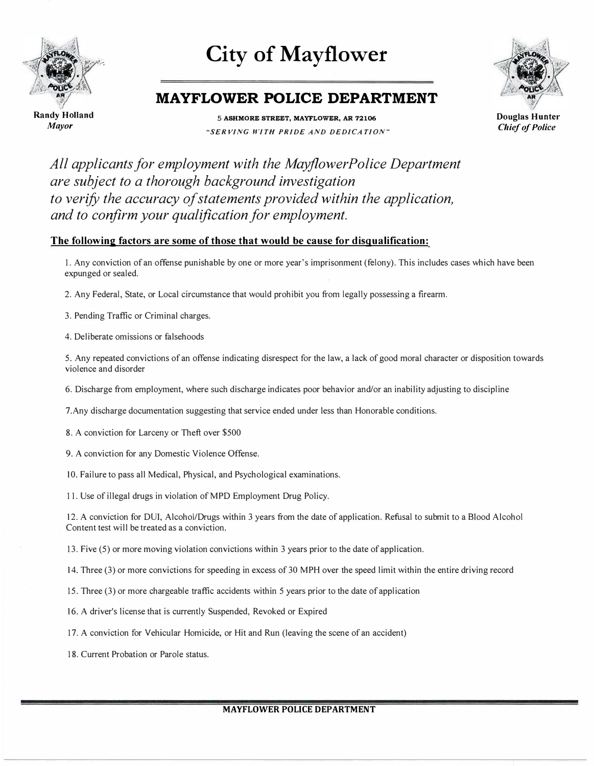

# **City of Mayflower**



### **MAYFLOWER POLICE DEPARTMENT**

Randy Holland *Mayor* 

**5 ASHMORE STREET, MAYFLOWER, AR 72106**  *"SERVING WITH PRIDE AND DEDICATION"*  **Douglas Hunter**  *Chief of Police* 

*All applicants for employment with the Mayflower Police Department are subject to a thorough background investigation to verify the accuracy of statements provided within the application, and to confirm your qualification for employment.* 

#### **The following factors are some of those that would be cause for disqualification:**

1. Any conviction of an offense punishable by one or more year's imprisonment (felony). This includes cases which have been expunged or sealed.

2. Any Federal, State, or Local circumstance that would prohibit you from legally possessing a firearm.

3. Pending Traffic or Criminal charges.

4. Deliberate omissions or falsehoods

5. Any repeated convictions of an offense indicating disrespect for the law, a lack of good moral character or disposition towards violence and disorder

6. Discharge from employment, where such discharge indicates poor behavior and/or an inability adjusting to discipline

7.Any discharge documentation suggesting that service ended under less than Honorable conditions.

8. A conviction for Larceny or Theft over \$500

- 9. A conviction for any Domestic Violence Offense.
- 10. Failure to pass all Medical, Physical, and Psychological examinations.

11. Use of illegal drugs in violation of MPD Employment Drug Policy.

12. A conviction for DUl, Alcohol/Drugs within 3 years from the date of application. Refusal to submit to a Blood Alcohol Content test will be treated as a conviction.

13. Five (5) or more moving violation convictions within 3 years prior to the date of application.

14. Three (3) or more convictions for speeding in excess of30 MPH over the speed limit within the entire driving record

15. Three (3) or more chargeable traffic accidents within 5 years prior to the date of application

- 16. A driver's license that is currently Suspended, Revoked or Expired
- 17. A conviction for Vehicular Homicide, or Hit and Run (leaving the scene of an accident)
- 18. Current Probation or Parole status.

#### **MAYFLOWER POLICE DEPARTMENT**